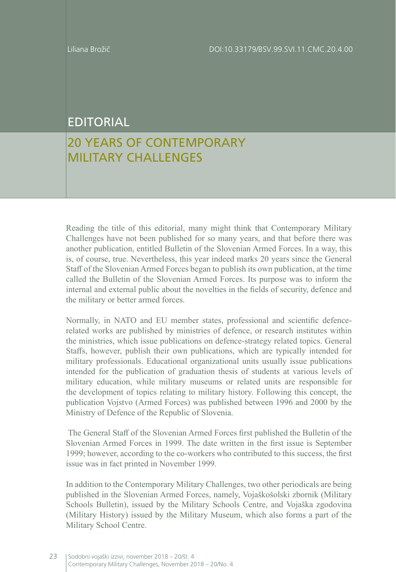## EDITORIAL

## 20 YEARS OF CONTEMPORARY MILITARY CHALLENGES

Reading the title of this editorial, many might think that Contemporary Military Challenges have not been published for so many years, and that before there was another publication, entitled Bulletin of the Slovenian Armed Forces. In a way, this is, of course, true. Nevertheless, this year indeed marks 20 years since the General Staff of the Slovenian Armed Forces began to publish its own publication, at the time called the Bulletin of the Slovenian Armed Forces. Its purpose was to inform the internal and external public about the novelties in the fields of security, defence and the military or better armed forces.

Normally, in NATO and EU member states, professional and scientific defencerelated works are published by ministries of defence, or research institutes within the ministries, which issue publications on defence-strategy related topics. General Staffs, however, publish their own publications, which are typically intended for military professionals. Educational organizational units usually issue publications intended for the publication of graduation thesis of students at various levels of military education, while military museums or related units are responsible for the development of topics relating to military history. Following this concept, the publication Vojstvo (Armed Forces) was published between 1996 and 2000 by the Ministry of Defence of the Republic of Slovenia.

 The General Staff of the Slovenian Armed Forces first published the Bulletin of the Slovenian Armed Forces in 1999. The date written in the first issue is September 1999; however, according to the co-workers who contributed to this success, the first issue was in fact printed in November 1999.

In addition to the Contemporary Military Challenges, two other periodicals are being published in the Slovenian Armed Forces, namely, Vojaškošolski zbornik (Military Schools Bulletin), issued by the Military Schools Centre, and Vojaška zgodovina (Military History) issued by the Military Museum, which also forms a part of the Military School Centre.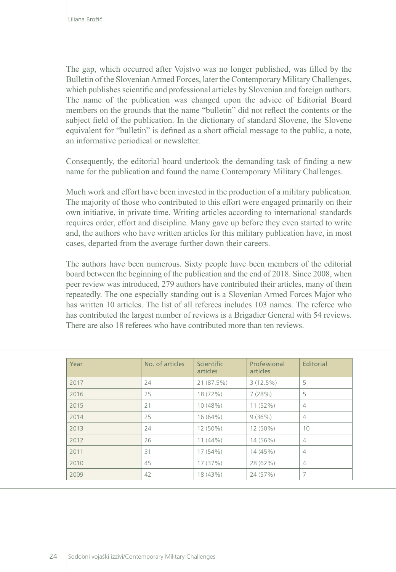The gap, which occurred after Vojstvo was no longer published, was filled by the Bulletin of the Slovenian Armed Forces, later the Contemporary Military Challenges, which publishes scientific and professional articles by Slovenian and foreign authors. The name of the publication was changed upon the advice of Editorial Board members on the grounds that the name "bulletin" did not reflect the contents or the subject field of the publication. In the dictionary of standard Slovene, the Slovene equivalent for "bulletin" is defined as a short official message to the public, a note, an informative periodical or newsletter.

Consequently, the editorial board undertook the demanding task of finding a new name for the publication and found the name Contemporary Military Challenges.

Much work and effort have been invested in the production of a military publication. The majority of those who contributed to this effort were engaged primarily on their own initiative, in private time. Writing articles according to international standards requires order, effort and discipline. Many gave up before they even started to write and, the authors who have written articles for this military publication have, in most cases, departed from the average further down their careers.

The authors have been numerous. Sixty people have been members of the editorial board between the beginning of the publication and the end of 2018. Since 2008, when peer review was introduced, 279 authors have contributed their articles, many of them repeatedly. The one especially standing out is a Slovenian Armed Forces Major who has written 10 articles. The list of all referees includes 103 names. The referee who has contributed the largest number of reviews is a Brigadier General with 54 reviews. There are also 18 referees who have contributed more than ten reviews.

| Year | No. of articles | Scientific<br>articles | Professional<br>articles | Editorial      |
|------|-----------------|------------------------|--------------------------|----------------|
| 2017 | 24              | 21 (87.5%)             | 3(12.5%)                 | 5              |
| 2016 | 25              | 18 (72%)               | 7(28%)                   | 5              |
| 2015 | 21              | 10 (48%)               | $11(52\%)$               | $\overline{4}$ |
| 2014 | 25              | $16(64\%)$             | 9(36%)                   | $\overline{4}$ |
| 2013 | 24              | $12(50\%)$             | 12 (50%)                 | 10             |
| 2012 | 26              | $11(44\%)$             | 14 (56%)                 | $\overline{4}$ |
| 2011 | 31              | 17 (54%)               | 14 (45%)                 | $\overline{4}$ |
| 2010 | 45              | 17(37%)                | 28 (62%)                 | $\overline{4}$ |
| 2009 | 42              | 18 (43%)               | 24 (57%)                 | 7              |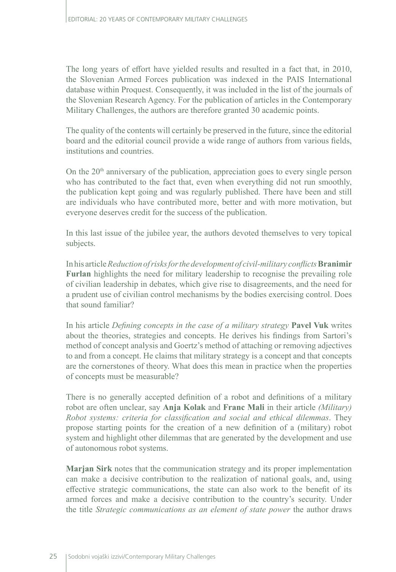The long years of effort have yielded results and resulted in a fact that, in 2010, the Slovenian Armed Forces publication was indexed in the PAIS International database within Proquest. Consequently, it was included in the list of the journals of the Slovenian Research Agency. For the publication of articles in the Contemporary Military Challenges, the authors are therefore granted 30 academic points.

The quality of the contents will certainly be preserved in the future, since the editorial board and the editorial council provide a wide range of authors from various fields, institutions and countries.

On the 20<sup>th</sup> anniversary of the publication, appreciation goes to every single person who has contributed to the fact that, even when everything did not run smoothly, the publication kept going and was regularly published. There have been and still are individuals who have contributed more, better and with more motivation, but everyone deserves credit for the success of the publication.

In this last issue of the jubilee year, the authors devoted themselves to very topical subjects.

In his article*Reduction of risks for the development of civil-military conflicts***Branimir Furlan** highlights the need for military leadership to recognise the prevailing role of civilian leadership in debates, which give rise to disagreements, and the need for a prudent use of civilian control mechanisms by the bodies exercising control. Does that sound familiar?

In his article *Defining concepts in the case of a military strategy* **Pavel Vuk** writes about the theories, strategies and concepts. He derives his findings from Sartori's method of concept analysis and Goertz's method of attaching or removing adjectives to and from a concept. He claims that military strategy is a concept and that concepts are the cornerstones of theory. What does this mean in practice when the properties of concepts must be measurable?

There is no generally accepted definition of a robot and definitions of a military robot are often unclear, say **Anja Kolak** and **Franc Mali** in their article *(Military) Robot systems: criteria for classification and social and ethical dilemmas*. They propose starting points for the creation of a new definition of a (military) robot system and highlight other dilemmas that are generated by the development and use of autonomous robot systems.

**Marjan Sirk** notes that the communication strategy and its proper implementation can make a decisive contribution to the realization of national goals, and, using effective strategic communications, the state can also work to the benefit of its armed forces and make a decisive contribution to the country's security. Under the title *Strategic communications as an element of state power* the author draws